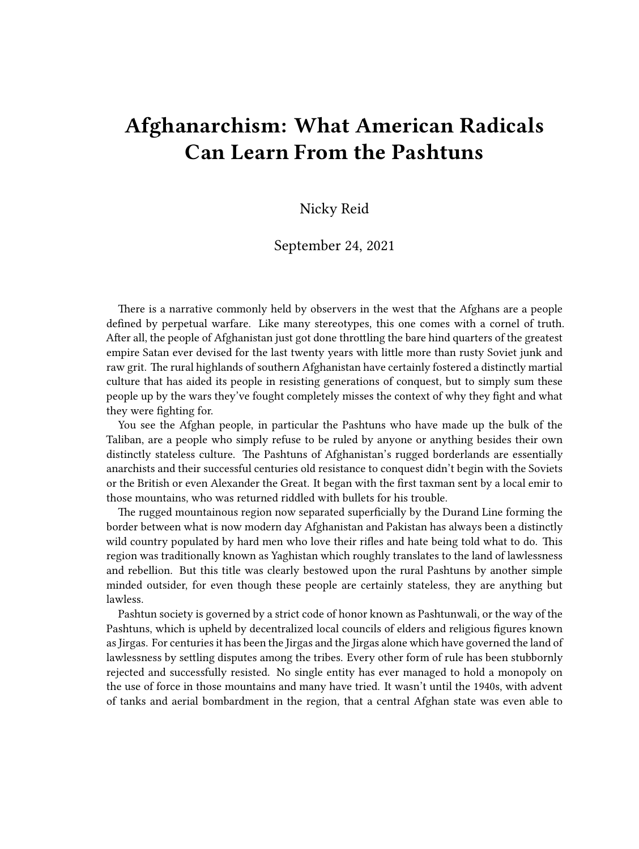## **Afghanarchism: What American Radicals Can Learn From the Pashtuns**

## Nicky Reid

## September 24, 2021

There is a narrative commonly held by observers in the west that the Afghans are a people defined by perpetual warfare. Like many stereotypes, this one comes with a cornel of truth. After all, the people of Afghanistan just got done throttling the bare hind quarters of the greatest empire Satan ever devised for the last twenty years with little more than rusty Soviet junk and raw grit. The rural highlands of southern Afghanistan have certainly fostered a distinctly martial culture that has aided its people in resisting generations of conquest, but to simply sum these people up by the wars they've fought completely misses the context of why they fight and what they were fighting for.

You see the Afghan people, in particular the Pashtuns who have made up the bulk of the Taliban, are a people who simply refuse to be ruled by anyone or anything besides their own distinctly stateless culture. The Pashtuns of Afghanistan's rugged borderlands are essentially anarchists and their successful centuries old resistance to conquest didn't begin with the Soviets or the British or even Alexander the Great. It began with the first taxman sent by a local emir to those mountains, who was returned riddled with bullets for his trouble.

The rugged mountainous region now separated superficially by the Durand Line forming the border between what is now modern day Afghanistan and Pakistan has always been a distinctly wild country populated by hard men who love their rifles and hate being told what to do. This region was traditionally known as Yaghistan which roughly translates to the land of lawlessness and rebellion. But this title was clearly bestowed upon the rural Pashtuns by another simple minded outsider, for even though these people are certainly stateless, they are anything but lawless.

Pashtun society is governed by a strict code of honor known as Pashtunwali, or the way of the Pashtuns, which is upheld by decentralized local councils of elders and religious figures known as Jirgas. For centuries it has been the Jirgas and the Jirgas alone which have governed the land of lawlessness by settling disputes among the tribes. Every other form of rule has been stubbornly rejected and successfully resisted. No single entity has ever managed to hold a monopoly on the use of force in those mountains and many have tried. It wasn't until the 1940s, with advent of tanks and aerial bombardment in the region, that a central Afghan state was even able to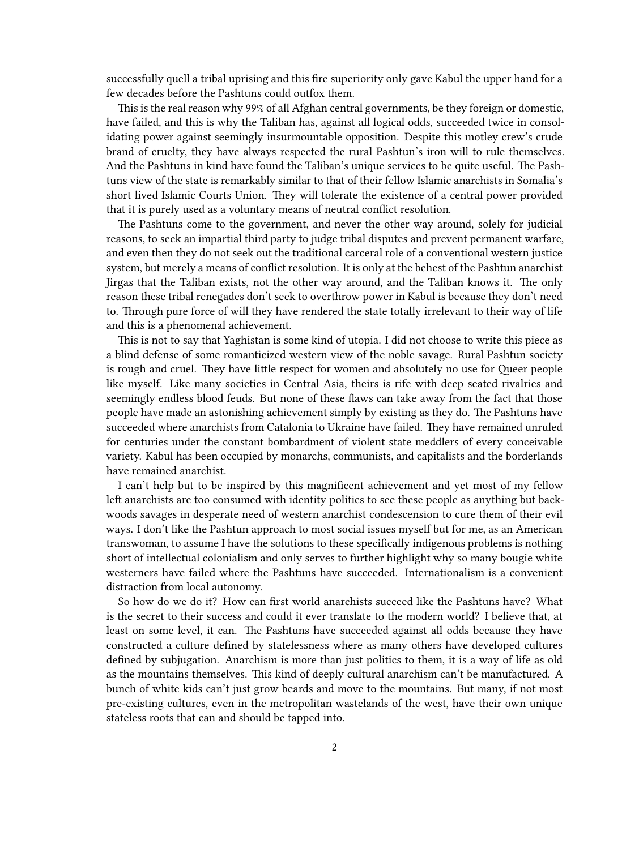successfully quell a tribal uprising and this fire superiority only gave Kabul the upper hand for a few decades before the Pashtuns could outfox them.

This is the real reason why 99% of all Afghan central governments, be they foreign or domestic, have failed, and this is why the Taliban has, against all logical odds, succeeded twice in consolidating power against seemingly insurmountable opposition. Despite this motley crew's crude brand of cruelty, they have always respected the rural Pashtun's iron will to rule themselves. And the Pashtuns in kind have found the Taliban's unique services to be quite useful. The Pashtuns view of the state is remarkably similar to that of their fellow Islamic anarchists in Somalia's short lived Islamic Courts Union. They will tolerate the existence of a central power provided that it is purely used as a voluntary means of neutral conflict resolution.

The Pashtuns come to the government, and never the other way around, solely for judicial reasons, to seek an impartial third party to judge tribal disputes and prevent permanent warfare, and even then they do not seek out the traditional carceral role of a conventional western justice system, but merely a means of conflict resolution. It is only at the behest of the Pashtun anarchist Jirgas that the Taliban exists, not the other way around, and the Taliban knows it. The only reason these tribal renegades don't seek to overthrow power in Kabul is because they don't need to. Through pure force of will they have rendered the state totally irrelevant to their way of life and this is a phenomenal achievement.

This is not to say that Yaghistan is some kind of utopia. I did not choose to write this piece as a blind defense of some romanticized western view of the noble savage. Rural Pashtun society is rough and cruel. They have little respect for women and absolutely no use for Queer people like myself. Like many societies in Central Asia, theirs is rife with deep seated rivalries and seemingly endless blood feuds. But none of these flaws can take away from the fact that those people have made an astonishing achievement simply by existing as they do. The Pashtuns have succeeded where anarchists from Catalonia to Ukraine have failed. They have remained unruled for centuries under the constant bombardment of violent state meddlers of every conceivable variety. Kabul has been occupied by monarchs, communists, and capitalists and the borderlands have remained anarchist.

I can't help but to be inspired by this magnificent achievement and yet most of my fellow left anarchists are too consumed with identity politics to see these people as anything but backwoods savages in desperate need of western anarchist condescension to cure them of their evil ways. I don't like the Pashtun approach to most social issues myself but for me, as an American transwoman, to assume I have the solutions to these specifically indigenous problems is nothing short of intellectual colonialism and only serves to further highlight why so many bougie white westerners have failed where the Pashtuns have succeeded. Internationalism is a convenient distraction from local autonomy.

So how do we do it? How can first world anarchists succeed like the Pashtuns have? What is the secret to their success and could it ever translate to the modern world? I believe that, at least on some level, it can. The Pashtuns have succeeded against all odds because they have constructed a culture defined by statelessness where as many others have developed cultures defined by subjugation. Anarchism is more than just politics to them, it is a way of life as old as the mountains themselves. This kind of deeply cultural anarchism can't be manufactured. A bunch of white kids can't just grow beards and move to the mountains. But many, if not most pre-existing cultures, even in the metropolitan wastelands of the west, have their own unique stateless roots that can and should be tapped into.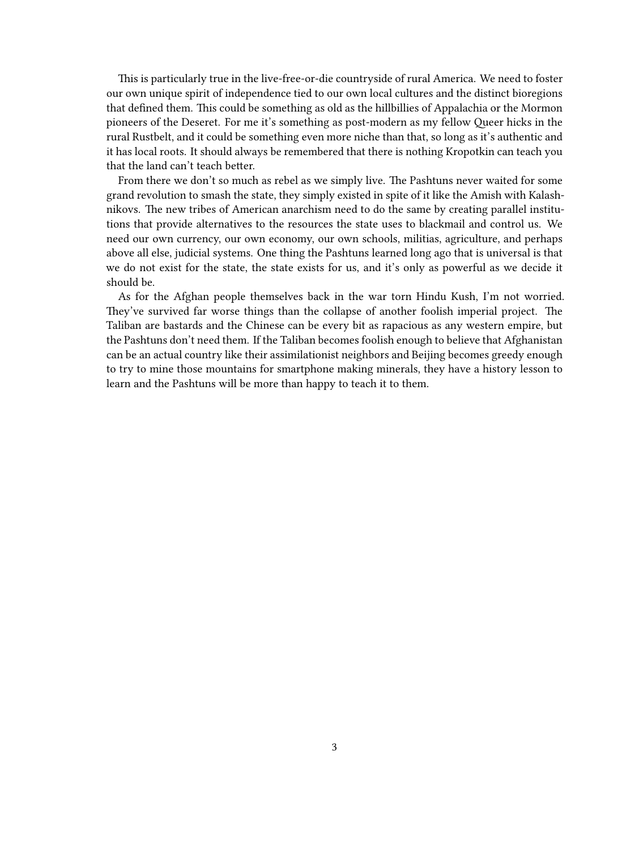This is particularly true in the live-free-or-die countryside of rural America. We need to foster our own unique spirit of independence tied to our own local cultures and the distinct bioregions that defined them. This could be something as old as the hillbillies of Appalachia or the Mormon pioneers of the Deseret. For me it's something as post-modern as my fellow Queer hicks in the rural Rustbelt, and it could be something even more niche than that, so long as it's authentic and it has local roots. It should always be remembered that there is nothing Kropotkin can teach you that the land can't teach better.

From there we don't so much as rebel as we simply live. The Pashtuns never waited for some grand revolution to smash the state, they simply existed in spite of it like the Amish with Kalashnikovs. The new tribes of American anarchism need to do the same by creating parallel institutions that provide alternatives to the resources the state uses to blackmail and control us. We need our own currency, our own economy, our own schools, militias, agriculture, and perhaps above all else, judicial systems. One thing the Pashtuns learned long ago that is universal is that we do not exist for the state, the state exists for us, and it's only as powerful as we decide it should be.

As for the Afghan people themselves back in the war torn Hindu Kush, I'm not worried. They've survived far worse things than the collapse of another foolish imperial project. The Taliban are bastards and the Chinese can be every bit as rapacious as any western empire, but the Pashtuns don't need them. If the Taliban becomes foolish enough to believe that Afghanistan can be an actual country like their assimilationist neighbors and Beijing becomes greedy enough to try to mine those mountains for smartphone making minerals, they have a history lesson to learn and the Pashtuns will be more than happy to teach it to them.